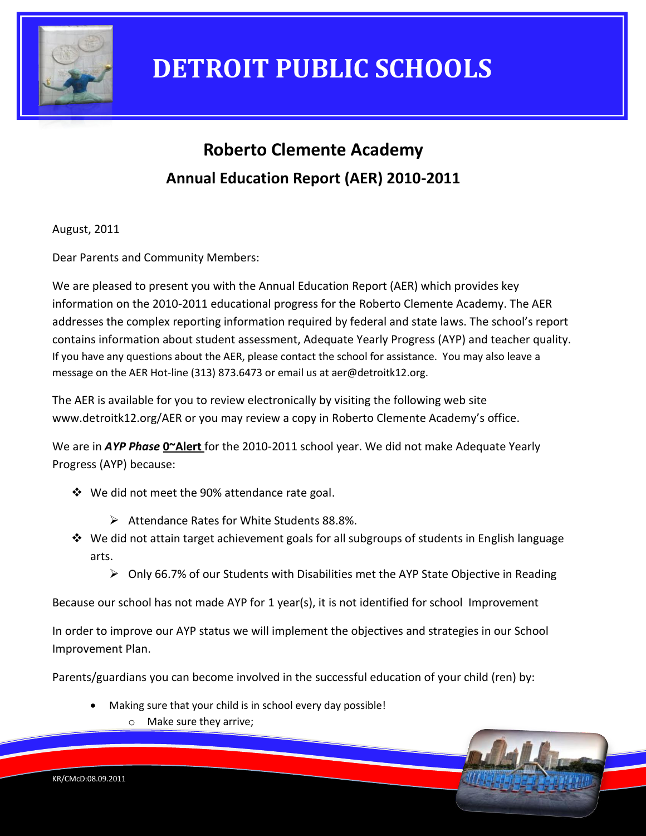

### **Roberto Clemente Academy Annual Education Report (AER) 2010-2011**

August, 2011

Dear Parents and Community Members:

We are pleased to present you with the Annual Education Report (AER) which provides key information on the 2010-2011 educational progress for the Roberto Clemente Academy. The AER addresses the complex reporting information required by federal and state laws. The school's report contains information about student assessment, Adequate Yearly Progress (AYP) and teacher quality. If you have any questions about the AER, please contact the school for assistance. You may also leave a message on the AER Hot-line (313) 873.6473 or email us at aer@detroitk12.org.

The AER is available for you to review electronically by visiting the following web site www.detroitk12.org/AER or you may review a copy in Roberto Clemente Academy's office.

We are in *AYP Phase* **0~Alert** for the 2010-2011 school year. We did not make Adequate Yearly Progress (AYP) because:

- We did not meet the 90% attendance rate goal.
	- Attendance Rates for White Students 88.8%.
- ◆ We did not attain target achievement goals for all subgroups of students in English language arts.
	- $\triangleright$  Only 66.7% of our Students with Disabilities met the AYP State Objective in Reading

Because our school has not made AYP for 1 year(s), it is not identified for school Improvement

In order to improve our AYP status we will implement the objectives and strategies in our School Improvement Plan.

Parents/guardians you can become involved in the successful education of your child (ren) by:

- Making sure that your child is in school every day possible!
	- o Make sure they arrive;

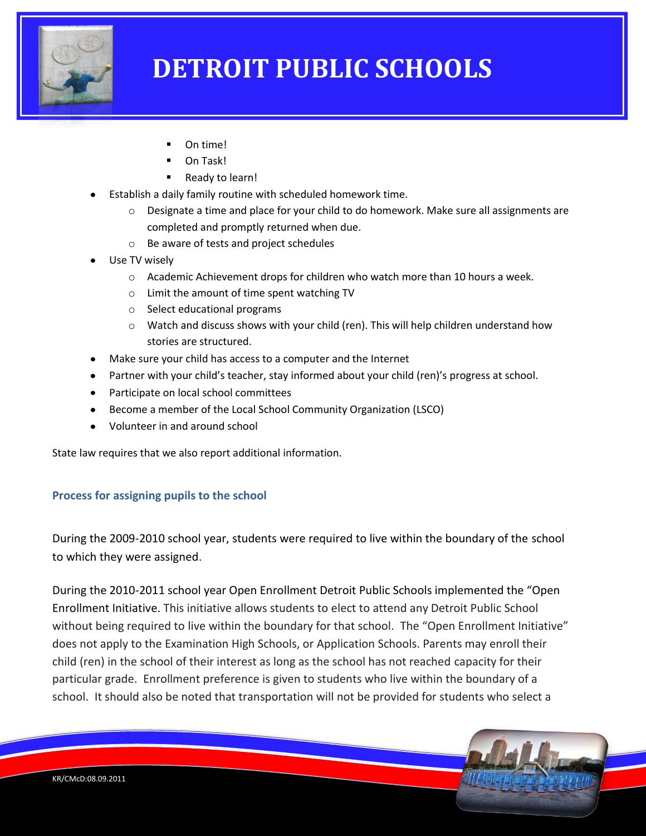

- On time!
- **D** On Task!
- Ready to learn!
- Establish a daily family routine with scheduled homework time.
	- $\circ$  Designate a time and place for your child to do homework. Make sure all assignments are completed and promptly returned when due.
	- o Be aware of tests and project schedules
- Use TV wisely
	- $\circ$  Academic Achievement drops for children who watch more than 10 hours a week.
	- o Limit the amount of time spent watching TV
	- o Select educational programs
	- $\circ$  Watch and discuss shows with your child (ren). This will help children understand how stories are structured.
- Make sure your child has access to a computer and the Internet
- Partner with your child's teacher, stay informed about your child (ren)'s progress at school.
- Participate on local school committees
- Become a member of the Local School Community Organization (LSCO)
- Volunteer in and around school

State law requires that we also report additional information.

### **Process for assigning pupils to the school**

During the 2009-2010 school year, students were required to live within the boundary of the school to which they were assigned.

During the 2010-2011 school year Open Enrollment Detroit Public Schools implemented the "Open Enrollment Initiative. This initiative allows students to elect to attend any Detroit Public School without being required to live within the boundary for that school. The "Open Enrollment Initiative" does not apply to the Examination High Schools, or Application Schools. Parents may enroll their child (ren) in the school of their interest as long as the school has not reached capacity for their particular grade. Enrollment preference is given to students who live within the boundary of a school. It should also be noted that transportation will not be provided for students who select a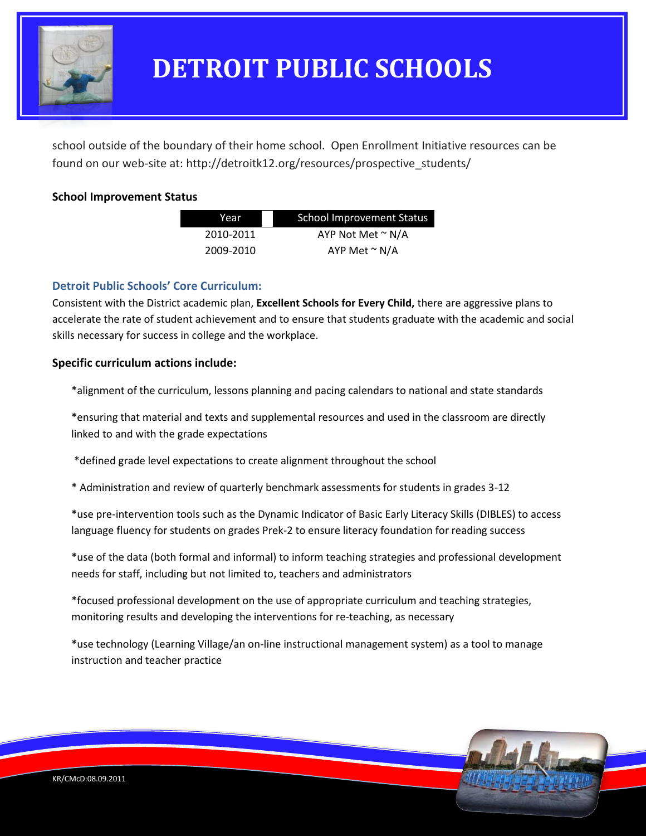

school outside of the boundary of their home school. Open Enrollment Initiative resources can be found on our web-site at: http://detroitk12.org/resources/prospective\_students/

### **School Improvement Status**

| Year      | <b>School Improvement Status</b> |  |
|-----------|----------------------------------|--|
| 2010-2011 | AYP Not Met $\sim N/A$           |  |
| 2009-2010 | AYP Met $\sim N/A$               |  |

### **Detroit Public Schools' Core Curriculum:**

Consistent with the District academic plan, **Excellent Schools for Every Child,** there are aggressive plans to accelerate the rate of student achievement and to ensure that students graduate with the academic and social skills necessary for success in college and the workplace.

#### **Specific curriculum actions include:**

\*alignment of the curriculum, lessons planning and pacing calendars to national and state standards

\*ensuring that material and texts and supplemental resources and used in the classroom are directly linked to and with the grade expectations

\*defined grade level expectations to create alignment throughout the school

\* Administration and review of quarterly benchmark assessments for students in grades 3-12

\*use pre-intervention tools such as the Dynamic Indicator of Basic Early Literacy Skills (DIBLES) to access language fluency for students on grades Prek-2 to ensure literacy foundation for reading success

\*use of the data (both formal and informal) to inform teaching strategies and professional development needs for staff, including but not limited to, teachers and administrators

\*focused professional development on the use of appropriate curriculum and teaching strategies, monitoring results and developing the interventions for re-teaching, as necessary

\*use technology (Learning Village/an on-line instructional management system) as a tool to manage instruction and teacher practice

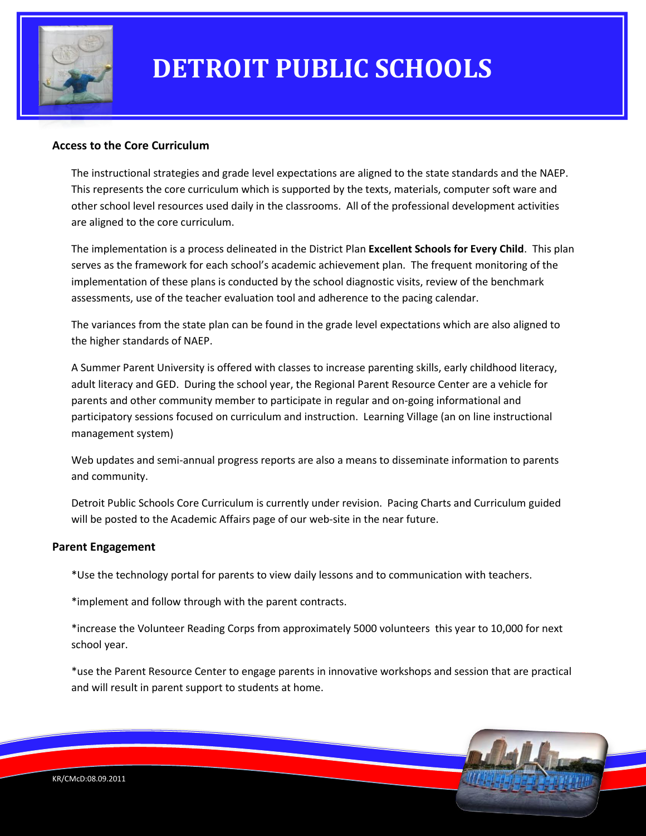

#### **Access to the Core Curriculum**

The instructional strategies and grade level expectations are aligned to the state standards and the NAEP. This represents the core curriculum which is supported by the texts, materials, computer soft ware and other school level resources used daily in the classrooms. All of the professional development activities are aligned to the core curriculum.

The implementation is a process delineated in the District Plan **Excellent Schools for Every Child**. This plan serves as the framework for each school's academic achievement plan. The frequent monitoring of the implementation of these plans is conducted by the school diagnostic visits, review of the benchmark assessments, use of the teacher evaluation tool and adherence to the pacing calendar.

The variances from the state plan can be found in the grade level expectations which are also aligned to the higher standards of NAEP.

A Summer Parent University is offered with classes to increase parenting skills, early childhood literacy, adult literacy and GED. During the school year, the Regional Parent Resource Center are a vehicle for parents and other community member to participate in regular and on-going informational and participatory sessions focused on curriculum and instruction. Learning Village (an on line instructional management system)

Web updates and semi-annual progress reports are also a means to disseminate information to parents and community.

Detroit Public Schools Core Curriculum is currently under revision. Pacing Charts and Curriculum guided will be posted to the Academic Affairs page of our web-site in the near future.

#### **Parent Engagement**

\*Use the technology portal for parents to view daily lessons and to communication with teachers.

\*implement and follow through with the parent contracts.

\*increase the Volunteer Reading Corps from approximately 5000 volunteers this year to 10,000 for next school year.

\*use the Parent Resource Center to engage parents in innovative workshops and session that are practical and will result in parent support to students at home.

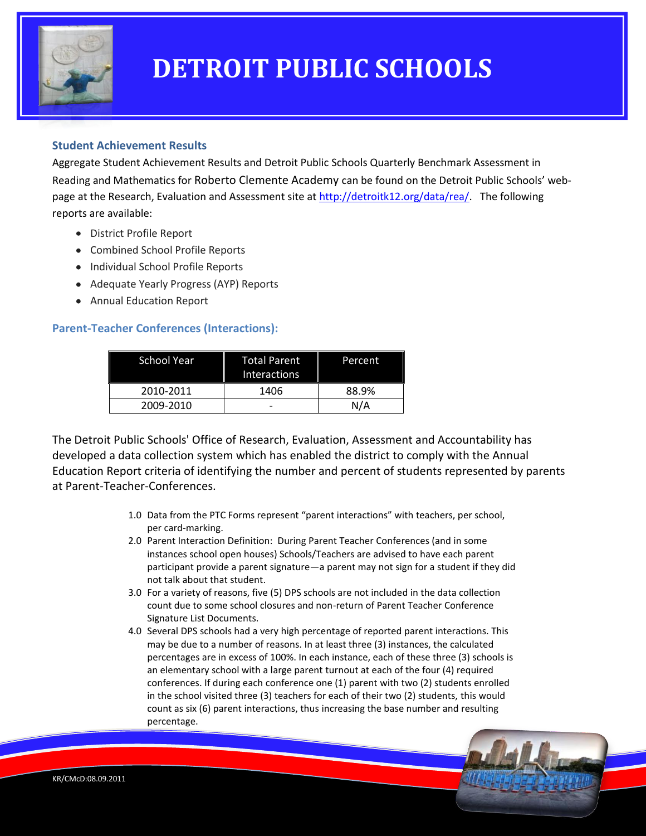

### **Student Achievement Results**

Aggregate Student Achievement Results and Detroit Public Schools Quarterly Benchmark Assessment in Reading and Mathematics for Roberto Clemente Academy can be found on the Detroit Public Schools' webpage at the Research, Evaluation and Assessment site a[t http://detroitk12.org/data/rea/.](http://detroitk12.org/data/rea/) The following reports are available:

- District Profile Report
- Combined School Profile Reports
- Individual School Profile Reports
- Adequate Yearly Progress (AYP) Reports
- Annual Education Report

### **Parent-Teacher Conferences (Interactions):**

| <b>School Year</b> | <b>Total Parent</b><br><b>Interactions</b> | Percent |
|--------------------|--------------------------------------------|---------|
| 2010-2011          | 1406                                       | 88.9%   |
| 2009-2010          |                                            | N/A     |

The Detroit Public Schools' Office of Research, Evaluation, Assessment and Accountability has developed a data collection system which has enabled the district to comply with the Annual Education Report criteria of identifying the number and percent of students represented by parents at Parent-Teacher-Conferences.

- 1.0 Data from the PTC Forms represent "parent interactions" with teachers, per school, per card-marking.
- 2.0 Parent Interaction Definition: During Parent Teacher Conferences (and in some instances school open houses) Schools/Teachers are advised to have each parent participant provide a parent signature—a parent may not sign for a student if they did not talk about that student.
- 3.0 For a variety of reasons, five (5) DPS schools are not included in the data collection count due to some school closures and non-return of Parent Teacher Conference Signature List Documents.
- 4.0 Several DPS schools had a very high percentage of reported parent interactions. This may be due to a number of reasons. In at least three (3) instances, the calculated percentages are in excess of 100%. In each instance, each of these three (3) schools is an elementary school with a large parent turnout at each of the four (4) required conferences. If during each conference one (1) parent with two (2) students enrolled in the school visited three (3) teachers for each of their two (2) students, this would count as six (6) parent interactions, thus increasing the base number and resulting percentage.